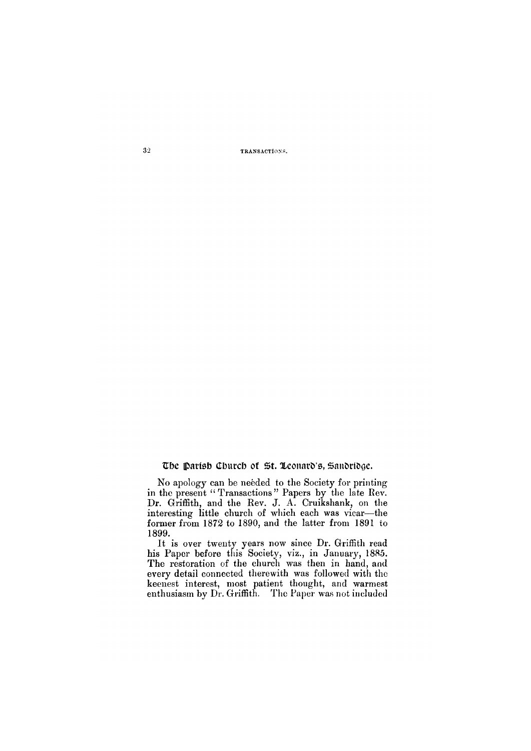**32 TRANSACTIONS.** 

The Parish Church of St. Leonard's, Sandridge.

No apology can be needed to the Society for printing in the present "Transactions" Papers by the late Rev. Dr. Griffith, and the Rev. J. A. Cruikshank, on the interesting little church of which each was vicar—the former from 1872 to 1890, and the latter from 1891 to 1899.

It is over twenty years now since Dr. Griffith read his Paper before this Society, viz., in January, 1885. The restoration of the church was then in hand, and every detail connected therewith was followed with the keenest interest, most patient thought, and warmest enthusiasm by Dr. Griffith. The Paper was not included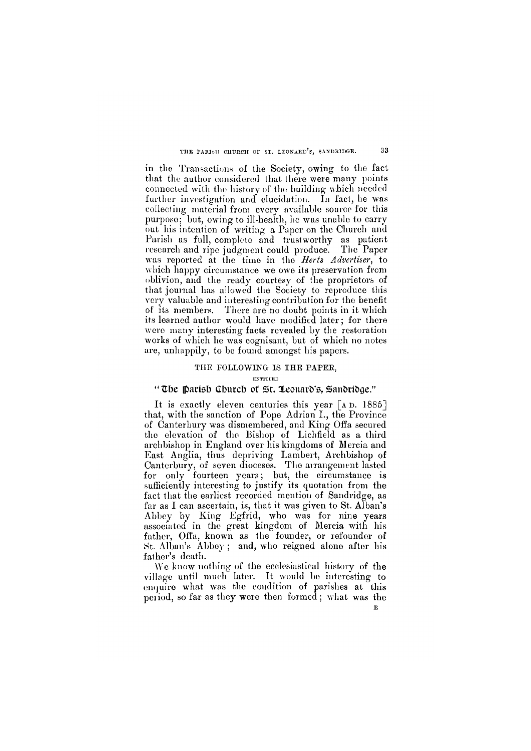#### $33<sup>°</sup>$ **THE PARISH CHURCH OF ST. LEONARD'S, SANDRIDGE.**

in the Transactions of the Society, owing to the fact that the author considered that there were many points connected with the history of the building which needed further investigation and elucidation. In fact, he was collecting material from every available source for this purpose; but, owing to ill-health, he was unable to carry out his intention of writing a Paper on the Church and Parish as full, complete and trustworthy as patient research and ripe judgment could produce. The Paper was reported at the time in the *Herts Advertiser*, to which happy circumstance we owe its preservation from oblivion, and the ready courtesy of the proprietors of that journal has allowed the Society to reproduce this very valuable and interesting contribution for the benefit of its members. There are no doubt points in it which its learned author would have modified later; for there were many interesting facts revealed by the restoration works of which he was cognisant, but of which no notes are, unhappily, to be found amongst his papers.

It is exactly eleven centuries this year [AD. 1885] that, with the sanction of Pope Adrian I., the Province of Canterbury was dismembered, and King Offa secured the elevation of the Bishop of Lichfield as a third archbishop in England over his kingdoms of Mercia and East Anglia, thus depriving Lambert, Archbishop of Canterbury, of seven dioceses. The arrangement lasted for only fourteen years; but, the circumstance is sufficiently interesting to justify its quotation from the fact that the earliest recorded mention of Sandridge, as far as I can ascertain, is, that it was given to St. Alban's Abbey by King Egfrid, who was for nine years associated in the great kingdom of Mercia with his father, Offa, known as the founder, or refounder of St. Alban's Abbey ; and, who reigned alone after his father's death.

# **THE FOLLOWING IS THE PAPER,**

## **ENTITLED**

# **"The Parish Church of St Leonard's, Sandridge."**

We know nothing of the ecclesiastical history of the

village until much later. It would be interesting to enquire what was the condition of parishes at this period, so far as they were then formed; what was the **E**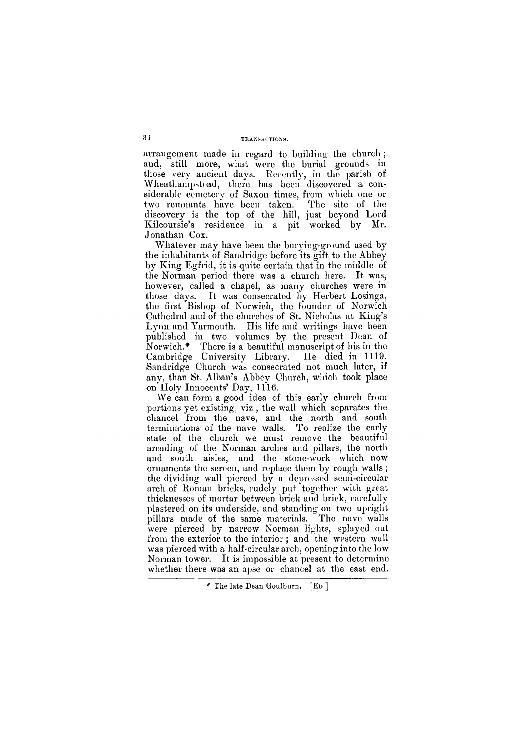# **34 TRANSACTIONS.**

arrangement made in regard to building the church ; and, still more, what were the burial grounds in those very ancient days. Recently, in the parish of Wheathampstead, there has been discovered a considerable cemetery of Saxon times, from which one or two remnants have been taken. The site of the discovery is the top of the hill, just beyond Lord Kilcoursie's residence in a pit worked by Mr. Jonathan Cox.

Whatever may have been the burying-ground used by the inhabitants of Sandridge before its gift to the Abbey by King Egfrid, it is quite certain that in the middle of the Norman period there was a church here. It was, however, called a chapel, as many churches were in those days. It was consecrated by Herbert Losinga, the first Bishop of Norwich, the founder of Norwich Cathedral and of the churches of St. Nicholas at King's Lynn and Yarmouth. His life and writings have been published in two volumes by the present Dean of Norwich.\* There is a beautiful manuscript of his in the Cambridge University Library. He died in 1119. Sandridge Church was consecrated not much later, if any, than St. Alban's Abbey Church, which took place on Holy Innocents' Day, 1116.

We can form a good idea of this early church from portions yet existing, viz., the wall which separates the chancel from the nave, and the north and south terminations of the nave walls. To realize the early state of the church we must remove the beautiful arcading of the Norman arches and pillars, the north and south aisles, and the stone-work which now ornaments the screen, and replace them by rough walls; the dividing wall pierced by a depressed semi-circular arch of Roman bricks, rudely put together with great thicknesses of mortar between brick and brick, carefully plastered on its underside, and standing on two upright pillars made of the same materials. The nave walls were pierced by narrow Norman lights, splayed out from the exterior to the interior ; and the western wall was pierced with a half-circular arch, opening into the low Norman tower. It is impossible at present to determine

whether there was an apse or chancel at the east end.

\* The late Dean Goulburn. [ED]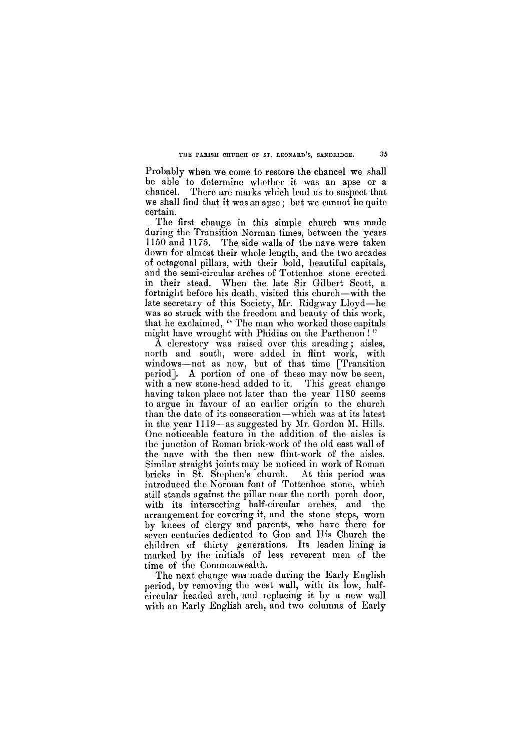# **THE PARISH CHURCH OF ST. LEONARD'S, SANDRIDGE. 35**

Probably when we come to restore the chancel we shall be able to determine whether it was an apse or a chancel. There are marks which lead us to suspect that we shall find that it was an apse; but we cannot be quite certain.

The first change in this simple church was made during the Transition Norman times, between the years 1150 and 1175. The side walls of the nave were taken down for almost their whole length, and the two arcades of octagonal pillars, with their bold, beautiful capitals, and the semi-circular arches of Tottenhoe stone erected in their stead. When the late Sir Gilbert Scott, a fortnight before his death, visited this church—with the late secretary of this Society, Mr. Ridgway Lloyd—he was so struck with the freedom and beauty of this work, that he exclaimed, " The man who worked those capitals might have wrought with Phidias on the Parthenon ! "

The next change was made during the Early English period, by removing the west wall, with its low, halfcircular headed arch, and replacing it by a new wall with an Early English arch, and two columns of Early

A clerestory was raised over this arcading; aisles, north and south, were added in flint work, with windows—not as now, but of that time [Transition period]. A portion of one of these may now be seen, with a new stone-head added to it. This great change having taken place not later than the year 1180 seems to argue in favour of an earlier origin to the church than the date of its consecration—which was at its latest in the year 1119—as suggested by Mr. Gordon M. Hills. One noticeable feature in the addition of the aisles is the junction of Roman brick-work of the old east wall of the nave with the then new flint-work of the aisles. Similar straight joints may be noticed in work of Roman bricks in St. Stephen's church. At this period was introduced the Norman font of Tottenhoe stone, which still stands against the pillar near the north porch door, with its intersecting half-circular arches, and the arrangement for covering it, and the stone steps, worn by knees of clergy and parents, who have there for seven centuries dedicated to GOD and His Church the children of thirty generations. Its leaden lining is marked by the initials of less reverent men of the time of the Commonwealth.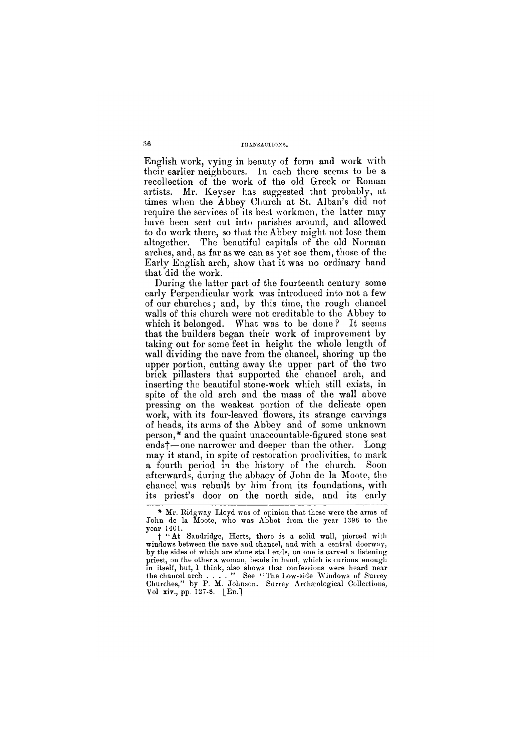## 36 **TRANSACTIONS.**

English work, vying in beauty of form and work with their earlier neighbours. In each there seems to be a recollection of the work of the old Greek or Roman artists. Mr. Keyser has suggested that probably, at times when the Abbey Church at St. Alban's did not require the services of its best workmen, the latter may have been sent out into parishes around, and allowed to do work there, so that the Abbey might not lose them altogether. The beautiful capitals of the old Norman arches, and, as far as we can as yet see them, those of the Early English arch, show that it was no ordinary hand that did the work.

During the latter part of the fourteenth century some early Perpendicular work was introduced into not a few of our churches; and, by this time, the rough chancel walls of this church were not creditable to the Abbey to which it belonged. What was to be done? It seems that the builders began their work of improvement by taking out for some feet in height the whole length of wall dividing the nave from the chancel, shoring up the upper portion, cutting away the upper part of the two brick pillasters that supported the chancel arch, and inserting the beautiful stone-work which still exists, in spite of the old arch and the mass of the wall above pressing on the weakest portion of the delicate open work, with its four-leaved flowers, its strange carvings of heads, its arms of the Abbey and of some unknown person,\* and the quaint unaccountable-figured stone seat endsf—one narrower and deeper than the other. Long may it stand, in spite of restoration proclivities, to mark a fourth period in the history of the church. Soon afterwards, during the abbacy of John de la Moote, the chancel was rebuilt by him from its foundations, with its priest's door on the north side, and its early

**in itself, but, I think, also shows that confessions were heard near the chancel arch . . . . " See " The Low-side Windows of Surrey Churches," by P. M. Johnson. Surrey Archaeological Collections, Vol** xiv., **pp.** 127-8. [Ed.]

**<sup>\*</sup> Mr. Ridgway Lloyd was of opinion that these were the arms of John de la Moote, who was Abbot from the year** 1396 **to the year** 1401.

**f "A t Sandridge, Herts, there is a solid wall, pierced with windows between the nave and chancel, and with a central doorway, by the sides of which are stone stall ends, on one is carved a listening priest, on the other a woman, beads in hand, which is curious enough**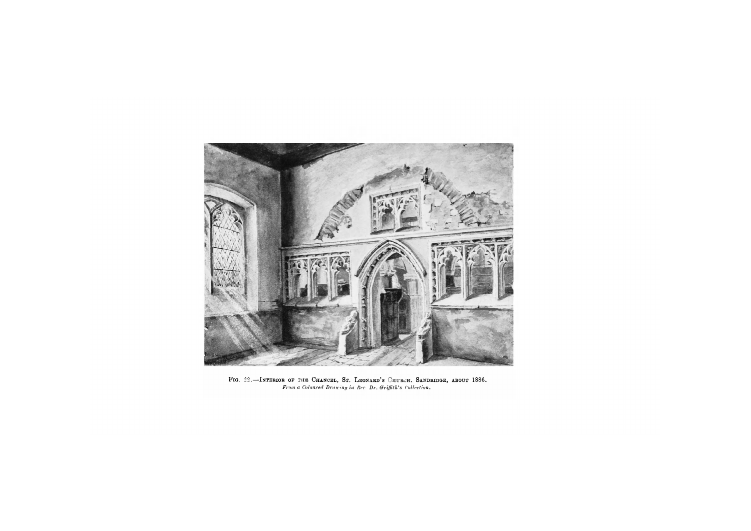

**Fig . 22.—Interio r o f th e Chancel , St . Leonard' s Church, Sandridge , abou t 1886 .**  *From a Coloured Drawing in Rev. Dr. Griffith's Collection.*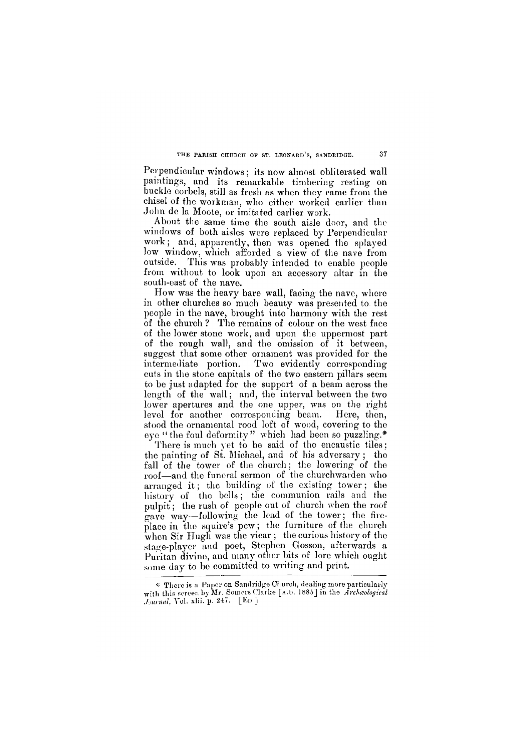## **THE PARISH CHURCH OF ST. LEONARD'S, SANDRIDGE. 37**

Perpendicular windows: its now almost obliterated wall paintings, and its remarkable timbering resting on buckle corbels, still as fresh as when they came from the chisel of the workman, who either worked earlier than John de la Moote, or imitated earlier work.

How was the heavy bare wall, facing the nave, where in other churches so much beauty was presented to the people in the nave, brought into harmony with the rest of the church ? The remains of colour on the west face of the lower stone work, and upon the uppermost part of the rough wall, and the omission of it between, suggest that some other ornament was provided for the intermediate portion. Two evidently corresponding cuts in the stone capitals of the two eastern pillars seem to be just adapted for the support of a beam across the length of the wall; and, the interval between the two lower apertures and the one upper, was on the right level for another corresponding beam. Here, then, stood the ornamental rood loft of wood, covering to the eye "the foul deformity" which had been so puzzling.\*

There is much yet to be said of the encaustic tiles; the painting of St. Michael, and of his adversary ; the fall of the tower of the church; the lowering of the roof—and the funeral sermon of the churchwarden who arranged it; the building of the existing tower ; the history of the bells; the communion rails and the pulpit; the rush of people out of church when the roof gave way—following the lead of the tower; the fireplace in the squire's pew; the furniture of the church when Sir Hugh was the vicar; the curious history of the stage-player and poet, Stephen Gosson, afterwards a Puritan divine, and many other bits of lore which ought some day to be committed to writing and print.

About the same time the south aisle door, and the windows of both aisles were replaced by Perpendicular work; and, apparently, then was opened the splayed low window, which afforded a view of the nave from outside. This was probably intended to enable people from without to look upon an accessory altar in the south-east of the nave.

**\* There is a Paper on Sandridge Church, dealing more particularly with this** screen **by Mr. Somers Clarke [A.D. 1885] in the** *Archaeological Journal***, Vol. xlii. p. 247. [ED ]**